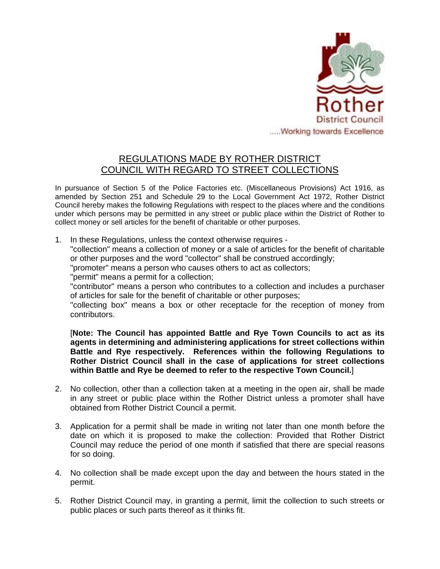

## REGULATIONS MADE BY ROTHER DISTRICT COUNCIL WITH REGARD TO STREET COLLECTIONS

In pursuance of Section 5 of the Police Factories etc. (Miscellaneous Provisions) Act 1916, as amended by Section 251 and Schedule 29 to the Local Government Act 1972, Rother District Council hereby makes the following Regulations with respect to the places where and the conditions under which persons may be permitted in any street or public place within the District of Rother to collect money or sell articles for the benefit of charitable or other purposes.

1. In these Regulations, unless the context otherwise requires -

"collection" means a collection of money or a sale of articles for the benefit of charitable or other purposes and the word "collector" shall be construed accordingly;

"promoter" means a person who causes others to act as collectors;

"permit" means a permit for a collection;

"contributor" means a person who contributes to a collection and includes a purchaser of articles for sale for the benefit of charitable or other purposes;

"collecting box" means a box or other receptacle for the reception of money from contributors.

[**Note: The Council has appointed Battle and Rye Town Councils to act as its agents in determining and administering applications for street collections within Battle and Rye respectively. References within the following Regulations to Rother District Council shall in the case of applications for street collections within Battle and Rye be deemed to refer to the respective Town Council.**]

- 2. No collection, other than a collection taken at a meeting in the open air, shall be made in any street or public place within the Rother District unless a promoter shall have obtained from Rother District Council a permit.
- 3. Application for a permit shall be made in writing not later than one month before the date on which it is proposed to make the collection: Provided that Rother District Council may reduce the period of one month if satisfied that there are special reasons for so doing.
- 4. No collection shall be made except upon the day and between the hours stated in the permit.
- 5. Rother District Council may, in granting a permit, limit the collection to such streets or public places or such parts thereof as it thinks fit.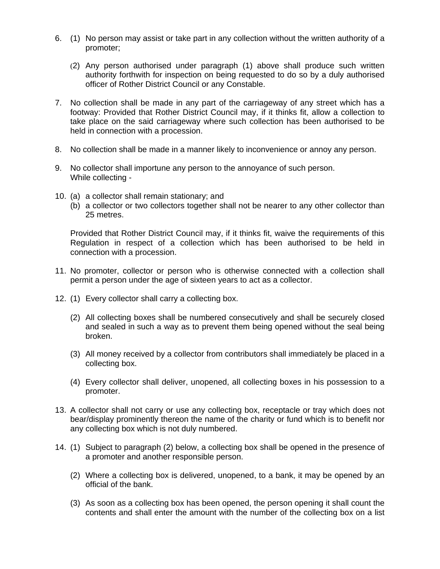- 6. (1) No person may assist or take part in any collection without the written authority of a promoter;
	- (2) Any person authorised under paragraph (1) above shall produce such written authority forthwith for inspection on being requested to do so by a duly authorised officer of Rother District Council or any Constable.
- 7. No collection shall be made in any part of the carriageway of any street which has a footway: Provided that Rother District Council may, if it thinks fit, allow a collection to take place on the said carriageway where such collection has been authorised to be held in connection with a procession.
- 8. No collection shall be made in a manner likely to inconvenience or annoy any person.
- 9. No collector shall importune any person to the annoyance of such person. While collecting -
- 10. (a) a collector shall remain stationary; and
	- (b) a collector or two collectors together shall not be nearer to any other collector than 25 metres.

Provided that Rother District Council may, if it thinks fit, waive the requirements of this Regulation in respect of a collection which has been authorised to be held in connection with a procession.

- 11. No promoter, collector or person who is otherwise connected with a collection shall permit a person under the age of sixteen years to act as a collector.
- 12. (1) Every collector shall carry a collecting box.
	- (2) All collecting boxes shall be numbered consecutively and shall be securely closed and sealed in such a way as to prevent them being opened without the seal being broken.
	- (3) All money received by a collector from contributors shall immediately be placed in a collecting box.
	- (4) Every collector shall deliver, unopened, all collecting boxes in his possession to a promoter.
- 13. A collector shall not carry or use any collecting box, receptacle or tray which does not bear/display prominently thereon the name of the charity or fund which is to benefit nor any collecting box which is not duly numbered.
- 14. (1) Subject to paragraph (2) below, a collecting box shall be opened in the presence of a promoter and another responsible person.
	- (2) Where a collecting box is delivered, unopened, to a bank, it may be opened by an official of the bank.
	- (3) As soon as a collecting box has been opened, the person opening it shall count the contents and shall enter the amount with the number of the collecting box on a list